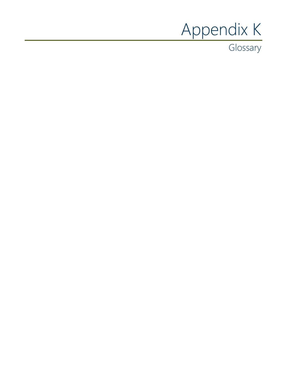# Appendix K

**Glossary**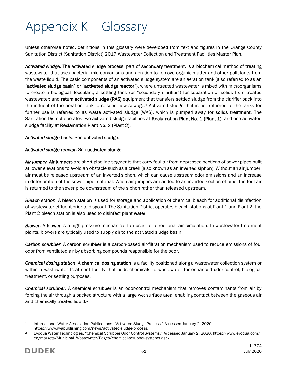# Appendix K – Glossary

Unless otherwise noted, definitions in this glossary were developed from text and figures in the Orange County Sanitation District (Sanitation District) 2017 Wastewater Collection and Treatment Facilities Master Plan.

Activated sludge. The activated sludge process, part of secondary treatment, is a biochemical method of treating wastewater that uses bacterial microorganisms and aeration to remove organic matter and other pollutants from the waste liquid. The basic components of an activated sludge system are an aeration tank (also referred to as an "activated sludge basin" or "activated sludge reactor"), where untreated wastewater is mixed with microorganisms to create a biological flocculant; a settling tank (or "secondary clarifier") for separation of solids from treated wastewater; and return activated sludge (RAS) equipment that transfers settled sludge from the clarifier back into the influent of the aeration tank to re-seed new sewage. <sup>1</sup> Activated sludge that is not returned to the tanks for further use is referred to as waste activated sludge (WAS), which is pumped away for **solids treatment**. The Sanitation District operates two activated sludge facilities at Reclamation Plant No. 1 (Plant 1), and one activated sludge facility at Reclamation Plant No. 2 (Plant 2).

# *Activated sludge basin*. See activated sludge.

# *Activated sludge reactor*. See activated sludge.

*Air jumper*. Air jumpers are short pipeline segments that carry foul air from depressed sections of sewer pipes built at lower elevations to avoid an obstacle such as a creek (also known as an inverted siphon). Without an air jumper, air must be released upstream of an inverted siphon, which can cause upstream odor emissions and an increase in deterioration of the sewer pipe material. When air jumpers are added to an inverted section of pipe, the foul air is returned to the sewer pipe downstream of the siphon rather than released upstream.

*Bleach station*. A bleach station is used for storage and application of chemical bleach for additional disinfection of wastewater effluent prior to disposal. The Sanitation District operates bleach stations at Plant 1 and Plant 2; the Plant 2 bleach station is also used to disinfect plant water.

*Blower*. A blower is a high-pressure mechanical fan used for directional air circulation. In wastewater treatment plants, blowers are typically used to supply air to the activated sludge basin.

*Carbon scrubber*. A carbon scrubber is a carbon-based air-filtration mechanism used to reduce emissions of foul odor from ventilated air by absorbing compounds responsible for the odor.

*Chemical dosing station*. A chemical dosing station is a facility positioned along a wastewater collection system or within a wastewater treatment facility that adds chemicals to wastewater for enhanced odor-control, biological treatment, or settling purposes.

*Chemical scrubber*. A chemical scrubber is an odor-control mechanism that removes contaminants from air by forcing the air through a packed structure with a large wet surface area, enabling contact between the gaseous air and chemically treated liquid.<sup>2</sup>

 $\overline{a}$ <sup>1</sup> International Water Association Publications. "Activated Sludge Process." Accessed January 2, 2020. https://www.iwapublishing.com/news/activated-sludge-process.

<sup>2</sup> Evoqua Water Technologies. "Chemical Scrubber Odor Control Systems." Accessed January 2, 2020. https://www.evoqua.com/ en/markets/Municipal\_Wastewater/Pages/chemical-scrubber-systems.aspx.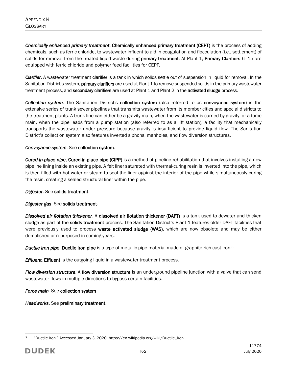*Chemically enhanced primary treatment*. Chemically enhanced primary treatment (CEPT) is the process of adding chemicals, such as ferric chloride, to wastewater influent to aid in coagulation and flocculation (i.e., settlement) of solids for removal from the treated liquid waste during primary treatment. At Plant 1, Primary Clarifiers 6-15 are equipped with ferric chloride and polymer feed facilities for CEPT.

*Clarifier*. A wastewater treatment clarifier is a tank in which solids settle out of suspension in liquid for removal. In the Sanitation District's system, **primary clarifiers** are used at Plant 1 to remove suspended solids in the primary wastewater treatment process, and secondary clarifiers are used at Plant 1 and Plant 2 in the activated sludge process.

*Collection system*. The Sanitation District's collection system (also referred to as conveyance system) is the extensive series of trunk sewer pipelines that transmits wastewater from its member cities and special districts to the treatment plants. A trunk line can either be a gravity main, when the wastewater is carried by gravity, or a force main, when the pipe leads from a pump station (also referred to as a lift station), a facility that mechanically transports the wastewater under pressure because gravity is insufficient to provide liquid flow. The Sanitation District's collection system also features inverted siphons, manholes, and flow diversion structures.

#### *Conveyance system*. See collection system.

*Cured-in-place pipe*. Cured-in-place pipe (CIPP) is a method of pipeline rehabilitation that involves installing a new pipeline lining inside an existing pipe. A felt liner saturated with thermal-curing resin is inverted into the pipe, which is then filled with hot water or steam to seal the liner against the interior of the pipe while simultaneously curing the resin, creating a sealed structural liner within the pipe.

#### *Digester*. See solids treatment.

#### *Digester gas*. See solids treatment.

*Dissolved air flotation thickener*. A dissolved air flotation thickener (DAFT) is a tank used to dewater and thicken sludge as part of the **solids treatment** process. The Sanitation District's Plant 1 features older DAFT facilities that were previously used to process waste activated sludge (WAS), which are now obsolete and may be either demolished or repurposed in coming years.

*Ductile iron pipe*. Ductile iron pipe is a type of metallic pipe material made of graphite-rich cast iron.<sup>3</sup>

*Effluent*. Effluent is the outgoing liquid in a wastewater treatment process.

*Flow diversion structure*. A flow diversion structure is an underground pipeline junction with a valve that can send wastewater flows in multiple directions to bypass certain facilities.

*Force main*. See collection system.

*Headworks*. See preliminary treatment.

 $\overline{a}$ <sup>3</sup> "Ductile iron." Accessed January 3, 2020. https://en.wikipedia.org/wiki/Ductile\_iron.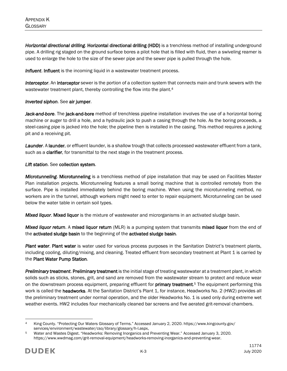*Horizontal directional drilling*. Horizontal directional drilling (HDD) is a trenchless method of installing underground pipe. A drilling rig staged on the ground surface bores a pilot hole that is filled with fluid, then a swiveling reamer is used to enlarge the hole to the size of the sewer pipe and the sewer pipe is pulled through the hole.

**Influent. Influent** is the incoming liquid in a wastewater treatment process.

*Interceptor*. An interceptor sewer is the portion of a collection system that connects main and trunk sewers with the wastewater treatment plant, thereby controlling the flow into the plant.<sup>4</sup>

# *Inverted siphon*. See air jumper.

Jack-and-bore. The jack-and-bore method of trenchless pipeline installation involves the use of a horizontal boring machine or auger to drill a hole, and a hydraulic jack to push a casing through the hole. As the boring proceeds, a steel-casing pipe is jacked into the hole; the pipeline then is installed in the casing. This method requires a jacking pit and a receiving pit.

*Launder*. A launder, or effluent launder, is a shallow trough that collects processed wastewater effluent from a tank, such as a clarifier, for transmittal to the next stage in the treatment process.

# *Lift station*. See collection system.

*Microtunneling*. Microtunneling is a trenchless method of pipe installation that may be used on Facilities Master Plan installation projects. Microtunneling features a small boring machine that is controlled remotely from the surface. Pipe is installed immediately behind the boring machine. When using the microtunneling method, no workers are in the tunnel, although workers might need to enter to repair equipment. Microtunneling can be used below the water table in certain soil types.

*Mixed liquor*. Mixed liquor is the mixture of wastewater and microrganisms in an activated sludge basin.

*Mixed liquor return*. A mixed liquor return (MLR) is a pumping system that transmits mixed liquor from the end of the activated sludge basin to the beginning of the activated sludge basin.

*Plant water*. Plant water is water used for various process purposes in the Sanitation District's treatment plants, including cooling, diluting/mixing, and cleaning. Treated effluent from secondary treatment at Plant 1 is carried by the Plant Water Pump Station.

*Preliminary treatment*. Preliminary treatment is the initial stage of treating wastewater at a treatment plant, in which solids such as sticks, stones, grit, and sand are removed from the wastewater stream to protect and reduce wear on the downstream process equipment, preparing effluent for **primary treatment**.<sup>5</sup> The equipment performing this work is called the headworks. At the Sanitation District's Plant 1, for instance, Headworks No. 2 (HW2) provides all the preliminary treatment under normal operation, and the older Headworks No. 1 is used only during extreme wet weather events. HW2 includes four mechanically cleaned bar screens and five aerated grit-removal chambers.

 $\overline{a}$ <sup>4</sup> King County. "Protecting Our Waters Glossary of Terms." Accessed January 2, 2020. https://www.kingcounty.gov/ services/environment/wastewater/cso/library/glossary/h-l.aspx,

Water and Wastes Digest. "Headworks: Removing Inorganics and Preventing Wear." Accessed January 3, 2020. https://www.wwdmag.com/grit-removal-equipment/headworks-removing-inorganics-and-preventing-wear.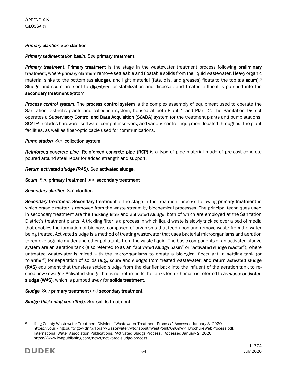#### *Primary clarifier*. See clarifier.

#### *Primary sedimentation basin*. See primary treatment.

*Primary treatment*. Primary treatment is the stage in the wastewater treatment process following preliminary treatment, where primary clarifiers remove settleable and floatable solids from the liquid wastewater. Heavy organic material sinks to the bottom (as sludge), and light material (fats, oils, and greases) floats to the top (as scum).<sup>6</sup> Sludge and scum are sent to **digesters** for stabilization and disposal, and treated effluent is pumped into the secondary treatment system.

*Process control system*. The process control system is the complex assembly of equipment used to operate the Sanitation District's plants and collection system, housed at both Plant 1 and Plant 2. The Sanitation District operates a Supervisory Control and Data Acquisition (SCADA) system for the treatment plants and pump stations. SCADA includes hardware, software, computer servers, and various control equipment located throughout the plant facilities, as well as fiber-optic cable used for communications.

#### *Pump station*. See collection system.

*Reinforced concrete pipe*. Reinforced concrete pipe (RCP) is a type of pipe material made of pre-cast concrete poured around steel rebar for added strength and support.

#### *Return activated sludge (RAS).* See activated sludge.

*Scum*. See primary treatment and secondary treatment.

#### *Secondary clarifier*. See clarifier.

*Secondary treatment*. Secondary treatment is the stage in the treatment process following primary treatment in which organic matter is removed from the waste stream by biochemical processes. The principal techniques used in secondary treatment are the trickling filter and activated sludge, both of which are employed at the Sanitation District's treatment plants. A trickling filter is a process in which liquid waste is slowly trickled over a bed of media that enables the formation of biomass composed of organisms that feed upon and remove waste from the water being treated. Activated sludge is a method of treating wastewater that uses bacterial microorganisms and aeration to remove organic matter and other pollutants from the waste liquid. The basic components of an activated sludge system are an aeration tank (also referred to as an "activated sludge basin" or "activated sludge reactor"), where untreated wastewater is mixed with the microorganisms to create a biological flocculant; a settling tank (or "clarifier") for separation of solids (e.g., scum and sludge) from treated wastewater; and return activated sludge (RAS) equipment that transfers settled sludge from the clarifier back into the influent of the aeration tank to reseed new sewage.<sup>7</sup> Activated sludge that is not returned to the tanks for further use is referred to as waste activated sludge (WAS), which is pumped away for solids treatment.

#### *Sludge*. See primary treatment and secondary treatment.

#### *Sludge thickening centrifuge*. See solids treatment.

 $\overline{a}$ <sup>6</sup> King County Wastewater Treatment Division. "Wastewater Treatment Process." Accessed January 3, 2020. https://your.kingcounty.gov/dnrp/library/wastewater/wtd/about/WestPoint/0909WP\_BrochureWebProcess.pdf,

<sup>7</sup> International Water Association Publications. "Activated Sludge Process." Accessed January 2, 2020. https://www.iwapublishing.com/news/activated-sludge-process.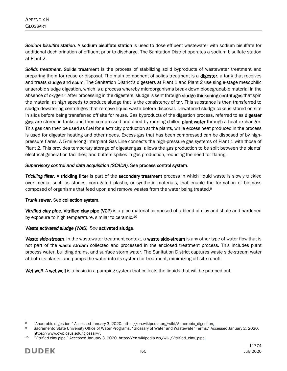*Sodium bisulfite station*. A sodium bisulfate station is used to dose effluent wastewater with sodium bisulfate for additional dechlorination of effluent prior to discharge. The Sanitation District operates a sodium bisulfate station at Plant 2.

*Solids treatment*. Solids treatment is the process of stabilizing solid byproducts of wastewater treatment and preparing them for reuse or disposal. The main component of solids treatment is a digester, a tank that receives and treats sludge and scum. The Sanitation District's digesters at Plant 1 and Plant 2 use single-stage mesophilic anaerobic sludge digestion, which is a process whereby microorganisms break down biodegradable material in the absence of oxygen.<sup>8</sup> After processing in the digesters, sludge is sent through **sludge thickening centrifuges** that spin the material at high speeds to produce sludge that is the consistency of tar. This substance is then transferred to sludge dewatering centrifuges that remove liquid waste before disposal. Dewatered sludge cake is stored on site in silos before being transferred off site for reuse. Gas byproducts of the digestion process, referred to as digester gas, are stored in tanks and then compressed and dried by running chilled plant water through a heat exchanger. This gas can then be used as fuel for electricity production at the plants, while excess heat produced in the process is used for digester heating and other needs. Excess gas that has been compressed can be disposed of by highpressure flares. A 5-mile-long Interplant Gas Line connects the high-pressure gas systems of Plant 1 with those of Plant 2. This provides temporary storage of digester gas; allows the gas production to be split between the plants' electrical generation facilities; and buffers spikes in gas production, reducing the need for flaring.

#### *Supervisory control and data acquisition (SCADA)*. See process control system.

*Trickling filter*. A trickling filter is part of the secondary treatment process in which liquid waste is slowly trickled over media, such as stones, corrugated plastic, or synthetic materials, that enable the formation of biomass composed of organisms that feed upon and remove wastes from the water being treated.<sup>9</sup>

#### *Trunk sewer*. See collection system.

*Vitrified clay pipe*. Vitrified clay pipe (VCP) is a pipe material composed of a blend of clay and shale and hardened by exposure to high temperature, similar to ceramic.<sup>10</sup>

# *Waste activated sludge (WAS)*. See activated sludge.

*Waste side-stream*. In the wastewater treatment context, a waste side-stream is any other type of water flow that is not part of the waste stream collected and processed in the enclosed treatment process. This includes plant process water, building drains, and surface storm water. The Sanitation District captures waste side-stream water at both its plants, and pumps the water into its system for treatment, minimizing off-site runoff.

Wet well. A wet well is a basin in a pumping system that collects the liquids that will be pumped out.

 $\overline{a}$ 8 "Anaerobic digestion." Accessed January 3, 2020. https://en.wikipedia.org/wiki/Anaerobic\_digestion.<br>8 Sacramento State University Office of Water Programs "Glossary of Water and Wastewater Terms "Ac

Sacramento State University Office of Water Programs. "Glossary of Water and Wastewater Terms." Accessed January 2, 2020. https://www.owp.csus.edu/glossary/.

<sup>10</sup> "Vitrified clay pipe." Accessed January 3, 2020. https://en.wikipedia.org/wiki/Vitrified\_clay\_pipe.